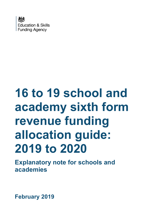

# **16 to 19 school and academy sixth form revenue funding allocation guide: 2019 to 2020**

**Explanatory note for schools and academies**

**February 2019**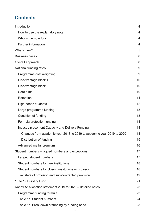# **Contents**

| Introduction                                                          | $\overline{4}$ |
|-----------------------------------------------------------------------|----------------|
| How to use the explanatory note                                       | 4              |
| Who is the note for?                                                  | 4              |
| <b>Further information</b>                                            | 4              |
| What's new?                                                           | 5              |
| <b>Business cases</b>                                                 | 6              |
| Overall approach                                                      | 8              |
| National funding rates                                                | 9              |
| Programme cost weighting                                              | 9              |
| Disadvantage block 1                                                  | 10             |
| Disadvantage block 2                                                  | 10             |
| Core aims                                                             | 10             |
| Retention                                                             | 11             |
| High needs students                                                   | 12             |
| Large programme funding                                               | 13             |
| Condition of funding                                                  | 13             |
| Formula protection funding                                            | 14             |
| Industry placement Capacity and Delivery Funding                      | 14             |
| Changes from academic year 2018 to 2019 to academic year 2019 to 2020 | 14             |
| Distribution of funding                                               | 15             |
| Advanced maths premium                                                | 16             |
| Student numbers – lagged numbers and exceptions                       | 17             |
| Lagged student numbers                                                | 17             |
| Student numbers for new institutions                                  | 18             |
| Student numbers for closing institutions or provision                 | 18             |
| Transfers of provision and sub-contracted provision                   | 19             |
| 16 to 19 Bursary Fund                                                 | 21             |
| Annex A: Allocation statement 2019 to 2020 – detailed notes           | 23             |
| Programme funding formula                                             | 23             |
| Table 1a: Student numbers                                             | 24             |
| Table 1b: Breakdown of funding by funding band                        | 25             |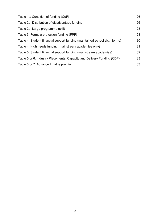| Table 1c: Condition of funding (CoF)                                       | 26 |
|----------------------------------------------------------------------------|----|
| Table 2a: Distribution of disadvantage funding                             | 26 |
| Table 2b: Large programme uplift                                           | 28 |
| Table 3: Formula protection funding (FPF)                                  | 28 |
| Table 4: Student financial support funding (maintained school sixth forms) | 30 |
| Table 4: High needs funding (mainstream academies only)                    | 31 |
| Table 5: Student financial support funding (mainstream academies)          | 32 |
| Table 5 or 6: Industry Placements: Capacity and Delivery Funding (CDF)     | 33 |
| Table 6 or 7: Advanced maths premium                                       | 33 |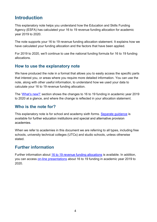# <span id="page-3-0"></span>**Introduction**

This explanatory note helps you understand how the Education and Skills Funding Agency (ESFA) has calculated your 16 to 19 revenue funding allocation for academic year 2019 to 2020.

The note supports your 16 to 19 revenue funding allocation statement. It explains how we have calculated your funding allocation and the factors that have been applied.

For 2019 to 2020, we'll continue to use the national funding formula for 16 to 19 funding allocations.

#### <span id="page-3-1"></span>**How to use the explanatory note**

We have produced the note in a format that allows you to easily access the specific parts that interest you, or areas where you require more detailed information. You can use the note, along with other useful information, to understand how we used your data to calculate your 16 to 19 revenue funding allocation.

The 'What's new?' section shows the changes to 16 to 19 funding in academic year 2019 to 2020 at a glance, and where the change is reflected in your allocation statement.

#### <span id="page-3-2"></span>**Who is the note for?**

This explanatory note is for school and academy sixth forms. Separate quidance is available for further education institutions and special and alternative provision academies.

When we refer to academies in this document we are referring to all types, including free schools, university technical colleges (UTCs) and studio schools, unless otherwise stated.

#### <span id="page-3-3"></span>**Further information**

Further information about 16 [to 19 revenue funding allocations](https://www.gov.uk/guidance/16-to-19-funding-how-it-works) is available. In addition, you can access [on-line presentations](https://www.gov.uk/guidance/16-to-19-education-funding-allocations) about 16 to 19 funding in academic year 2019 to 2020.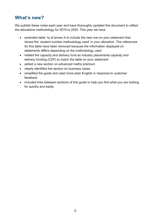# <span id="page-4-0"></span>**What's new?**

We publish these notes each year and have thoroughly updated this document to reflect the allocations methodology for 2019 to 2020. This year we have

- amended table 1a of annex A to include the new row on your statement that shows the 'student number methodology used' in your allocation. The references for this table have been removed because the information displayed on statements differs depending on the methodology used
- retitled the capacity and delivery fund as industry placements capacity and delivery funding (CDF) to match the table on your statement
- added a new section on advanced maths premium
- clearly identified the section on business cases
- simplified the guide and used more plain English in response to customer feedback
- included links between sections of this guide to help you find what you are looking for quickly and easily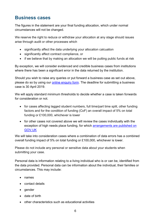# <span id="page-5-0"></span>**Business cases**

The figures in the statement are your final funding allocation, which under normal circumstances will not be changed.

We reserve the right to reduce or withdraw your allocation at any stage should issues arise through audit or other processes which

- significantly affect the data underlying your allocation calcuation
- significantly affect contract compliance, or
- if we believe that by making an allocation we will be putting public funds at risk

By exception, we will consider evidenced and credible business cases from institutions where there has been a significant error in the data returned by the institution.

Should you wish to raise any queries or put forward a business case as set out above, please do so by using our [online enquiry form.](https://form.education.gov.uk/fillform.php?self=1&form_id=HR41uA2F8Dh&type=form&ShowMsg=1&form_name=Knowledge+centre+enquiry+form&noRegister=false&ret=%2Fmodule%2Fservices&noLoginPrompt=1) The deadline for submitting a business case is 30 April 2019.

We will apply standard minimum thresholds to decide whether a case is taken forwards for consideration or not.

- for cases affecting lagged student numbers, full time/part time split, other funding factors and for the condition of funding (CoF) an overall impact of 5% on total funding or £100,000, whichever is lower
- for other cases not covered above we will review the cases individually with the exception of high needs place funding, for which [arrangements are published on](https://www.gov.uk/government/publications/high-needs-funding-arrangements-2019-to-2020)  [GOV.UK](https://www.gov.uk/government/publications/high-needs-funding-arrangements-2019-to-2020)

We will take into consideration cases where a combination of data errors has a combined overall funding impact of 5% on total funding or £100,000, whichever is lower.

Please do not include any personal or sensitive data about your students when submitting your case.

Personal data is information relating to a living individual who is or can be, identified from the data provided. Personal data can be information about the individual, their families or circumstances. This may include:

- names
- contact details
- gender
- date of birth
- other characteristics such as educational activities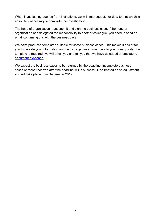When investigating queries from institutions, we will limit requests for data to that which is absolutely necessary to complete the investigation.

The head of organisation must submit and sign the business case. If the head of organisation has delegated the responsibility to another colleague, you need to send an email confirming this with the business case.

We have produced templates suitable for some business cases. This makes it easier for you to provide your information and helps us get an answer back to you more quickly. If a template is required, we will email you and tell you that we have uploaded a template to [document exchange.](https://www.gov.uk/government/publications/efa-information-exchange/efa-information-exchange-about-the-system)

We expect the business cases to be returned by the deadline. Incomplete business cases or those received after the deadline will, if successful, be treated as an adjustment and will take place from September 2019.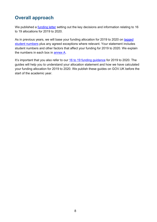# <span id="page-7-0"></span>**Overall approach**

We published a **funding letter** setting out the key decisions and information relating to 16 to 19 allocations for 2019 to 2020.

As in previous years, we will base your funding allocation for 2019 to 2020 on [lagged](#page-16-0)  [student numbers](#page-16-0) plus any agreed exceptions where relevant. Your statement includes student numbers and other factors that affect your funding for 2019 to 2020. We explain the numbers in each box in [annex A.](#page-22-0)

It's important that you also refer to our [16 to 19 funding guidance](https://www.gov.uk/guidance/16-to-19-education-funding-guidance) for 2019 to 2020. The guides will help you to understand your allocation statement and how we have calculated your funding allocation for 2019 to 2020. We publish these guides on GOV.UK before the start of the academic year.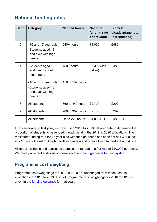# <span id="page-8-0"></span>**National funding rates**

| <b>Band</b>    | Category                                                                 | <b>Planned hours</b> | <b>National</b><br>funding rate<br>per student | <b>Block 2</b><br>disadvantage rate<br>(per instance) |
|----------------|--------------------------------------------------------------------------|----------------------|------------------------------------------------|-------------------------------------------------------|
| 5              | -16 and 17 year olds<br>-Students aged 18<br>and over with high<br>needs | $540+$ hours         | £4,000                                         | £480                                                  |
| $\overline{4}$ | -Students aged 18<br>and over without<br>high needs                      | $450+$ hours         | £3,300 (see<br>below)                          | £480                                                  |
|                | -16 and 17 year olds<br>-Students aged 18<br>and over with high<br>needs | 450 to 539 hours     |                                                |                                                       |
| 3              | All students                                                             | 360 to 449 hours     | £2,700                                         | £292                                                  |
| 2              | All students                                                             | 280 to 359 hours     | £2,133                                         | £292                                                  |
| 1              | All students                                                             | Up to 279 hours      | £4,000/FTE                                     | £480/FTE                                              |

In a similar way to last year, we have used 2017 to 2018 full year data to determine the proportion of students to be funded in each band in the 2019 to 2020 allocations. The maximum funding rate for 18 year olds without high needs has been set as £3,300, so any 18 year olds without high needs in bands 4 and 5 have been funded at band 4 rate.

All special schools and special academies are funded at a flat rate of £10,000 per place. We have published additional information about the [high needs funding system.](https://www.gov.uk/government/publications/high-needs-funding-arrangements-2019-to-2020)

#### <span id="page-8-1"></span>**Programme cost weighting**

Programme cost weightings for 2019 to 2020 are unchanged from those used in allocations for 2018 to 2019. A list of programme cost weightings for 2018 to 2019 is given in the [funding guidance](https://www.gov.uk/government/publications/funding-rates-and-formula) for that year.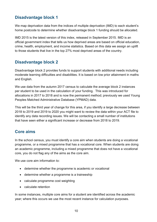#### <span id="page-9-0"></span>**Disadvantage block 1**

We map deprivation data from the indices of multiple deprivation (IMD) to each student's home postcode to determine whether disadvantage block 1 funding should be allocated.

IMD 2015 is the latest version of this index, released in September 2015. IMD is an official government index that tells us how deprived areas are based on official education, crime, health, employment, and income statistics. Based on this data we assign an uplift to those students that live in the top 27% most deprived areas of the country.

#### <span id="page-9-1"></span>**Disadvantage block 2**

Disadvantage block 2 provides funds to support students with additional needs including moderate learning difficulties and disabilities. It is based on low prior attainment in maths and English.

We use data from the autumn 2017 census to calculate the average block 2 instances per student to be used in the calculation of your funding. This was introduced for allocations in 2017 to 2018 and is now the permanent method; previously we used Young Peoples Matched Administrative Database (YPMAD) data.

This will be the third year of change for this area, if you identify a large decrease between 2018 to 2019 and 2019 to 2020 you might want to review the data within your ACT file to identify any data recording issues. We will be contacting a small number of institutions that have seen either a significant increase or decrease from 2018 to 2019.

# <span id="page-9-2"></span>**Core aims**

In the school census, you must identify a core aim when students are doing a vocational programme, or a mixed programme that has a vocational core. When students are doing an academic programme, including a mixed programme that does not have a vocational core, you do not flag any of the aims as the core aim.

We use core aim information to:

- determine whether the programme is academic or vocational
- determine whether a programme is a traineeship
- calculate programme cost weighting
- calculate retention

In some instances, multiple core aims for a student are identified across the academic year; where this occurs we use the most recent instance for calculation purposes.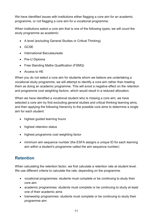We have identified issues with institutions either flagging a core aim for an academic programme, or not flagging a core aim for a vocational programme.

When institutions select a core aim that is one of the following types, we will count the study programme as academic:

- A level (excluding General Studies or Critical Thinking)
- GCSE
- International Baccalaureate
- Pre-U Diploma
- Free Standing Maths Qualification (FSMQ)
- Access to HE

When you do not select a core aim for students whom we believe are undertaking a vocational study programme, we will attempt to identify a core aim rather than treating them as doing an academic programme. This will avoid a negative effect on the retention and programme cost weighting factors, which would result in a reduced allocation.

When we have identified a vocational student who is missing a core aim, we have selected a core aim by first excluding general studies and critical thinking learning aims, and then applying the following hierarchy to the possible core aims to determine a single aim for each student:

- highest guided learning hours
- highest retention status
- highest programme cost weighting factor
- minimum aim sequence number (the ESFA assigns a unique ID for each learning aim within a student's programme called the aim sequence number)

# <span id="page-10-0"></span>**Retention**

When calculating the retention factor, we first calculate a retention rate at student level. We use different criteria to calculate the rate, depending on the programme.

- vocational programmes: students must complete or be continuing to study their core aim
- academic programmes: students must complete or be continuing to study at least one of their academic aims
- traineeship programmes: students must complete or be continuing to study their programme aim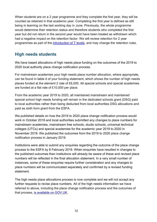When students are on a 2 year programme and they complete the first year, they will be counted as retained in that academic year. Completing the first year is defined as still being in learning on the last working day in June. Previously, the whole programme would determine their retention status and therefore students who completed the first year but did not return in the second year would have been treated as withdrawn which had a negative impact on the retention factor. We will review retention for 2 year programmes as part of the [introduction of T levels,](https://www.gov.uk/government/publications/introduction-of-t-levels) and may change the retention rules.

#### <span id="page-11-0"></span>**High needs students**

We have based allocations of high needs place funding on the outcomes of the 2019 to 2020 local authority place change notification process.

For mainstream academies your high needs place number allocation, where appropriate, can be found in table 4 of your funding statement, which shows the number of high needs places funded at the element 2 rate of £6,000. All special schools and special academies are funded at a flat rate of £10,000 per place.

From the academic year 2019 to 2020, all maintained mainstream and maintained special school high needs funding will remain in the dedicated schools grant (DSG) paid to local authorities rather than being deducted from local authorities DSG allocations and paid as sixth form grant from the ESFA.

We published details on how the 2019 to 2020 place change notification process would work in October 2018 and local authorities submitted any changes to place numbers for mainstream academies, mainstream free schools, studio schools, universal technical colleges (UTCs) and special academies for the academic year 2019 to 2020 in November 2018. We published the outcomes from the 2019 to 2020 place change notification process in January 2019.

Institutions were able to submit any enquiries regarding the outcome of the place change process to the ESFA by 8 February 2019. When enquiries have resulted in changes to the published outcomes then institutions will already be aware of these and revised place numbers will be reflected in the final allocation statement. In a very small number of instances, some of these enquiries require further consideration and any changes to place numbers will be communicated separately and confirmed by a revised funding statement.

The high needs place allocations process is now complete and we will not accept any further requests to revise place numbers. All of the high needs information we have referred to above, including the place change notification process and the outcomes of that process, [is available on GOV.UK.](https://www.gov.uk/government/publications/high-needs-funding-arrangements-2019-to-2020)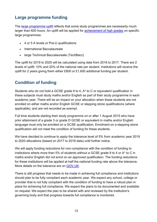# <span id="page-12-0"></span>**Large programme funding**

The large [programme](https://www.gov.uk/guidance/16-to-19-funding-large-programme-uplift) uplift reflects that some study programmes are necessarily much larger than 600 hours. An uplift will be applied for [achievement of high grades](https://www.gov.uk/guidance/16-to-19-funding-large-programme-uplift#students-covered-by-the-large-programme-uplift) on specific large programmes:

- 4 or 5 A levels or Pre-U qualifications
- International Baccalaureate
- large Technical Baccalaureate (TechBacc)

The uplift for 2019 to 2020 will be calculated using data from 2016 to 2017. There are 2 levels of uplift: 10% and 20% of the national rate per student. Institutions will receive the uplift for 2 years giving them either £800 or £1,600 additional funding per student.

# <span id="page-12-1"></span>**Condition of funding**

Students who do not hold a GCSE grade 9 to 4, A\* to C or equivalent qualification in these subjects must study maths and/or English as part of their study programme in each academic year. There will be an impact on your allocation when these students are not enrolled on either maths and/or English GCSE or stepping stone qualifications (where applicable), and are not recorded as exempt.

Full time students starting their study programme on or after 1 August 2015 who have prior attainment of a grade 3 or grade D GCSE or equivalent in maths and/or English language must only be enrolled on a GCSE qualification. Enrolment on a stepping stone qualification will not meet the condition of funding for these students.

We have decided to continue to apply the tolerance level of 5% from academic year 2019 to 2020 allocations (based on 2017 to 2018 data) until further notice.

We will apply funding reductions for non-compliance with the condition of funding to institutions where more than 5% of students without a GCSE grade 9 to 4 or A\* to C in maths and/or English did not enrol on an approved qualification. The funding reductions for these institutions will be applied at half the national funding rate above the tolerance. More details on the tolerance are on [GOV.UK.](https://www.gov.uk/guidance/16-to-19-funding-maths-and-english-condition-of-funding#applying-a-tolerance-to-allocations)

There is still progress that needs to be made in achieving full compliance and institutions should plan to be fully compliant each academic year. We expect any school, college or provider that is not fully compliant with the condition of funding to have a robust plan in place for achieving full compliance. We expect the plans to be documented and available on request. We expect the plan to be shared with and reviewed by the institution's governing body and that progress towards full compliance is monitored.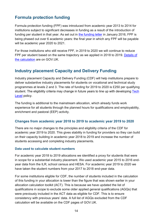# <span id="page-13-0"></span>**Formula protection funding**

Formula protection funding (FPF) was introduced from academic year 2013 to 2014 for institutions subject to significant decreases in funding as a result of the introduction of funding per student in that year. As set out in [the funding letter](https://www.gov.uk/government/publications/16-to-19-funding-funding-for-academic-year-2016-to-2017) in January 2016, FPF is being phased out over 6 academic years: the final year in which any FPF will be payable will be academic year 2020 to 2021.

For those institutions who still receive FPF, in 2019 to 2020 we will continue to reduce FPF per student based on the same trajectory as we applied in 2018 to 2019. [Details of](https://www.gov.uk/guidance/formula-protection-funding)  [the calculation](https://www.gov.uk/guidance/formula-protection-funding) are on GOV.UK.

#### <span id="page-13-1"></span>**Industry placement Capacity and Delivery Funding**

Industry placement Capacity and Delivery Funding (CDF) will help institutions prepare to deliver substantive industry placements for students on vocational and technical study programmes at levels 2 and 3. The rate of funding for 2019 to 2020 is £250 per qualifying student. The eligibility criteria may change in future years to line up with developing Tech [Level](https://www.gov.uk/government/publications/2019-performance-tables-technical-and-vocational-qualifications/tech-levels) policy.

The funding is additional to the mainstream allocation, which already funds work experience for all students through the planned hours for qualifications and employability, enrichment and pastoral (EEP) activity.

#### <span id="page-13-2"></span>**Changes from academic year 2018 to 2019 to academic year 2019 to 2020**

There are no major changes to the principles and eligibility criteria of the CDF for academic year 2019 to 2020. This gives stability in funding for providers so they can build on their capacity building in academic year 2018 to 2019 and increase the number of students accessing and completing industry placements.

#### **Data used to calculate student numbers**

For academic year 2018 to 2019 allocations we identified a proxy for students that were in scope for a substantial industry placement. We used academic year 2015 to 2016 endyear data from the ILR, school census and HESA. For academic year 2019 to 2020 we have taken the student numbers from your 2017 to 2018 end-year data.

For some institutions eligible for CDF, the number of students included in the calculation of this funding in your allocation is lower than the figure that was shown earlier in your allocation calculation toolkit (ACT). This is because we have updated the list of qualifications in scope to exclude some older applied general qualifications (AGQs) that were previously included in the ACT data as eligible for CDF. This is to ensure consistency with previous years' data. A full list of AGQs excluded from the CDF calculation will be available on the CDF pages of GOV.UK.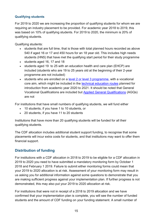#### **Qualifying students**

For 2019 to 2020 we are increasing the proportion of qualifying students for whom we are requiring an industry placement to be provided. For academic year 2018 to 2019, this was based on 10% of qualifying students. For 2019 to 2020, the minimum is 20% of qualifying students.

Qualifying students:

- students that are full time, that is those with total planned hours recorded as above 540 if aged 16 or 17 and 450 hours for an 18 year old. This includes high needs students (HNS) that have met the qualifying start period for their study programme
- students aged 16, 17 and 18
- students aged 19 to 25 with an education health and care plan (EHCP) are included (students who are 19 to 25 years old at the beginning of their 2-year programme are not included)
- students who are enrolled on a [level 2 or level 3 programme,](https://www.gov.uk/guidance/industry-placements-capacity-and-delivery-fund-cdf-for-2019-to-2020-for-providers-not-in-receipt-of-cdf-in-2018-to-2019-academic-year#qualifying-students) with a vocational core aim, which might be included in the [technical education routes](https://www.gov.uk/government/news/technical-education-overhaul-unveiled-by-skills-minister) planned for introduction from academic year 2020 to 2021. It should be noted that General Vocational Qualifications are included but [Applied General Qualifications](https://www.gov.uk/government/publications/2019-performance-tables-technical-and-vocational-qualifications/applied-general-qualifications) (AGQs) are not

For institutions that have small numbers of qualifying students, we will fund either

- 10 students, if you have 1 to 10 students, or
- 20 students, if you have 11 to 20 students

Institutions that have more than 20 qualifying students will be funded for all their qualifying students.

The CDF allocation includes additional student support funding, to recognise that some placements will incur extra costs for students, and that institutions may want to offer them financial support.

#### <span id="page-14-0"></span>**Distribution of funding**

For institutions with a CDF allocation in 2018 to 2019 to be eligible for a CDF allocation in 2019 to 2020 you need to have submitted a mandatory monitoring form by October 1 2018 and February 1 2019. Failure to submit either monitoring forms could mean that your 2019 to 2020 allocation is at risk. Assessment of your monitoring form may result in us asking you for additional information against some questions to demonstrate that you are making sufficient progress against your implementation plan. If further progress is not demonstrated, this may also put your 2019 to 2020 allocation at risk.

For institutions that were not in receipt of a 2018 to 2019 allocation and we have confirmed that your implementation plan is complete, you will see the number of funded students and the amount of CDF funding on your funding statement. A small number of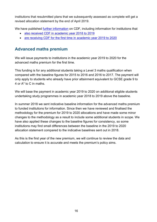institutions that resubmitted plans that we subsequently assessed as complete will get a revised allocation statement by the end of April 2019.

We have published [further information](https://www.gov.uk/guidance/work-placement-capacity-and-delivery-fund-principles-for-high-quality-work-placements) on CDF, including information for institutions that

- [also received CDF in academic year 2018 to 2019](https://www.gov.uk/guidance/industry-placements-capacity-and-delivery-fund-cdf-for-academic-year-2019-to-2020)
- [are receiving CDF for the first time in](https://www.gov.uk/guidance/industry-placements-capacity-and-delivery-fund-cdf-for-2019-to-2020-for-providers-not-in-receipt-of-cdf-in-2018-to-2019-academic-year) academic year 2019 to 2020

# <span id="page-15-0"></span>**Advanced maths premium**

We will issue payments to institutions in the academic year 2019 to 2020 for the advanced maths premium for the first time.

This funding is for any additional students taking a Level 3 maths qualification when compared with the baseline figures for 2015 to 2016 and 2016 to 2017. The payment will only apply to students who already have prior attainment equivalent to GCSE grade 9 to 4 or A\* to C in maths.

We will base the payment in academic year 2019 to 2020 on additional eligible students undertaking study programmes in academic year 2018 to 2019 above the baseline.

In summer 2018 we sent indicative baseline information for the advanced maths premium to funded institutions for information. Since then we have reviewed and finalised the methodology for the premium for 2019 to 2020 allocations and have made some minor changes to the methodology as a result to include some additional students in scope. We have also applied these changes to the baseline figures for consistency, so some institutions may find small differences between the baseline in the 2019 to 2020 allocation statement compared to the indicative baselines sent out in 2018.

As this is the first year of the new premium, we will continue to review the data and calculation to ensure it is accurate and meets the premium's policy aims.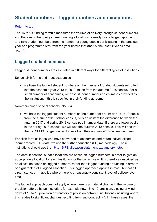# <span id="page-16-0"></span>**Student numbers – lagged numbers and exceptions**

#### [Return to top](#page-7-0)

The 16 to 19 funding formula measures the volume of delivery through student numbers and the size of their programme. Funding allocations normally use a lagged approach, and take student numbers from the number of young people participating in the previous year and programme size from the year before that (that is, the last full year's data return).

#### <span id="page-16-1"></span>**Lagged student numbers**

Lagged student numbers are calculated in different ways for different types of institutions.

School sixth forms and most academies

 we base the lagged student numbers on the number of funded students recruited into the academic year 2018 to 2019, taken from the autumn 2018 census. For a small number of academies, we base student numbers on estimates provided by the institution, if this is specified in their funding agreement

Non-maintained special schools (NMSS)

 we base the lagged student numbers on the number of pre-16 and 16 to 19 pupils from the autumn 2018 school census, plus an uplift of the difference between the autumn 2017 and spring 2018 census pupil number data. If there are fewer pupils in the spring 2018 census, we will use the autumn 2018 census. This will ensure that no NMSS will get funded for less than their autumn 2018 census numbers

For sixth form colleges who have converted to academies and return individualised learner record (ILR) data, we use the further education (FE) methodology. These institutions should use the [16 to 19 FE allocation statement explanatory note.](https://www.gov.uk/government/publications/16-to-19-funding-allocations-supporting-documents-for-2019-to-2020)

The default position is that allocations are based on lagged numbers in order to give an appropriate allocation for each institution for the current year. It is therefore described as an allocation based on lagged numbers, rather than lagged funding or funding in arrears or a guarantee of a lagged allocation. This lagged approach applies in most, but not all circumstances – it applies where there is a reasonably consistent level of delivery over time.

The lagged approach does not apply where there is a material change in the volume of provision offered by an institution, for example new 16 to 19 provision, closing or winddown of 16 to 19 provision or transfers of provision between institutions (including where this relates to significant changes resulting from sub-contracting). In those cases, the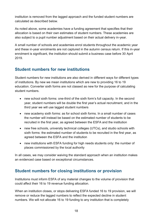institution is removed from the lagged approach and the funded student numbers are calculated as described below.

As noted above, some academies have a funding agreement that specifies that their allocation is based on their own estimates of student numbers. These academies are also subject to a pupil number adjustment based on their actual delivery in-year.

A small number of schools and academies enrol students throughout the academic year and these in-year enrolments are not captured in the autumn census return. If this in-year enrolment is significant, the institution should submit a business case before 30 April 2019.

#### <span id="page-17-0"></span>**Student numbers for new institutions**

Student numbers for new institutions are also derived in different ways for different types of institutions. By new we mean institutions which are new to providing 16 to 19 education. Converter sixth forms are not classed as new for the purpose of calculating student numbers.

- new school sixth forms: one-third of the sixth form's full capacity. In the second year, student numbers will be double the first year's actual recruitment, and in the third year we will use lagged student numbers
- new academy sixth forms: as for school sixth forms. In a small number of cases the number will instead be based on the estimated number of students to be recruited in the first year, as agreed between the ESFA and the institution
- new free schools, university technical colleges (UTCs), and studio schools with sixth forms: the estimated number of students to be recruited in the first year, as agreed between the ESFA and the institution
- new institutions with ESFA funding for high needs students only: the number of places commissioned by the local authority

In all cases, we may consider waiving the standard approach when an institution makes an evidenced case based on exceptional circumstances.

# <span id="page-17-1"></span>**Student numbers for closing institutions or provision**

Institutions must inform ESFA of any material changes to the volume of provision that could affect their 16 to 19 revenue funding allocation.

When an institution closes, or stops delivering ESFA funded 16 to 19 provision, we will remove or reduce the lagged numbers to reflect the expected decline in student numbers. We will not allocate 16 to 19 funding to any institution that is completely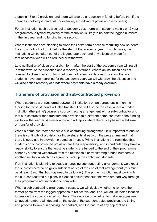stopping 16 to 19 provision, and there will also be a reduction in funding before that if the change in delivery is material (for example, a rundown of provision over 2 years).

For an institution such as a school or academy sixth form with students mainly on 2 year programmes, a typical trajectory for the reduction is likely to be half the lagged numbers in the first year and no funding in the second.

Where institutions are planning to close their sixth form or cease recruiting new students they must notify the ESFA before the start of the academic year. In such cases, the institutions will be taken out of the lagged approach and any allocation made for that academic year will be reduced or withdrawn.

Late notification of closure of a sixth form, after the start of the academic year will result in withdrawal of the allocation and a recovery of funds. Where an institution has not planned to close their sixth form but does not recruit, or data returns show that no students have been enrolled for the academic year, we will withdraw the allocation and will also action recovery of funds where payments have already occurred.

# <span id="page-18-0"></span>**Transfers of provision and sub-contracted provision**

Where students are transferred between 2 institutions on an agreed basis, then the funding for those students will also transfer. This will also be the case where a funded institution (the 'prime') ceases a sub-contracting arrangement with a sub-contractor and that sub-contractor then transfers the provision to a different prime contractor: the funding will follow the learner. A similar approach will apply where there is a phased withdrawal or transfer of provision.

When a prime contractor ceases a sub-contracting arrangement, it is important to ensure there is continuity of provision for those students already on the programme and that there is not a gap in provision created as a result. Prime institutions are reminded that students on sub-contracted provision are their responsibility, and in particular they have a responsibility to ensure that existing students are funded to the end of their programme either by a phased withdrawal from the relationship or transferring funded numbers to another institution which has agreed to pick up the continuing students.

If an institution is planning to cease an ongoing sub-contracting arrangement, we expect the sub-contractor to be given sufficient notice of the end of that arrangement (this must be at least 3 months, but may need to be longer). The prime institution must work with the sub-contractor to put plans in place to ensure that students who are part way through their programme are supported to complete.

When a sub-contracting arrangement ceases, we will decide whether to remove the former prime from the lagged approach to reflect this, and if so, will adjust their allocation to remove the sub-contracted numbers. The decision on whether to make an adjustment to lagged numbers will depend on the scale of the sub-contracted provision, the timing and process followed in ceasing the contract, and the nature of any gap that has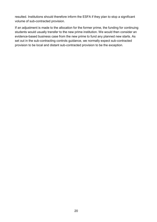resulted. Institutions should therefore inform the ESFA if they plan to stop a significant volume of sub-contracted provision.

If an adjustment is made to the allocation for the former prime, the funding for continuing students would usually transfer to the new prime institution. We would then consider an evidence-based business case from the new prime to fund any planned new starts. As set out in the sub-contracting controls guidance, we normally expect sub-contracted provision to be local and distant sub-contracted provision to be the exception.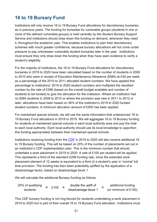# <span id="page-20-0"></span>**16 to 19 Bursary Fund**

Institutions will only receive 16 to 19 Bursary Fund allocations for discretionary bursaries, as in previous years. The funding for bursaries for vulnerable groups (students in one or more of the defined vulnerable groups) is held centrally by the Student Bursary Support Service and institutions should draw down this funding on demand, whenever they need it, throughout the academic year. This enables institutions to plan their discretionary schemes with much greater confidence, because bursary allocations will not come under pressure to pay unforeseen vulnerable student bursaries later in the year. Institutions must ensure they only draw down the funding when they have seen evidence to verify a student's eligibility.

For the majority of institutions, the 16 to 19 Bursary Fund allocations for discretionary bursaries in 2019 to 2020 have been calculated based on the number of students in 2009 to 2010 who were in receipt of Education Maintenance Allowance (EMA) at £30 per week as a percentage of the 2010 to 2011 allocated student numbers. We have applied this percentage to institutions' 2019 to 2020 student numbers and multiplied the resultant number by the rate of £298 (based on the overall budget available and number of students to be funded) to give the allocation for the institution. Where an institution had no EMA students in 2009 to 2010 or where the provision was new in 2011 to 2012 or later, allocations have been based on 36% of the institution's 2019 to 2020 funded student numbers. A minimum allocation amount of £500 has been applied.

For maintained special schools, we will use the same information that underpinned 16 to 19 Bursary Fund allocations in 2018 to 2019. We will aggregate 16 to 19 Bursary funding for students at maintained special schools in each local authority area and pay the total to each local authority. Each local authority should use its local knowledge to apportion this funding appropriately between their maintained special schools.

Institutions receiving funding from the [CDF](#page-13-1) in 2019 to 2020 will also receive additional 16 to 19 Bursary funding. This will be based on 20% of the number of placements set out in an institution's CDF implementation plan. This is the minimum number that should undertake a work placement in 2019 to 2020. A rate of £100 per student will be applied. This represents a third of the standard £298 funding rate, since the extended work placement element of 12 weeks is equivalent to a third of a student's year in 'normal' full time provision. The funding has then been potentially uplifted by the application of a disadvantage factor, based on disadvantage block 1.

We will calculate the additional Bursary funding as follows.

| 20% of qualifying | £100 | double the uplift of | additional funding      |
|-------------------|------|----------------------|-------------------------|
| students          |      | disadvantage block 1 | (or minimum of $£100$ ) |

This CDF bursary funding is not ring-fenced for students undertaking a work placement in 2019 to 2020 but is part of their overall 16 to 19 Bursary Fund allocation. Institutions must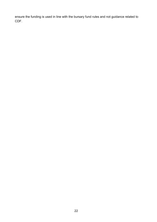ensure the funding is used in line with the bursary fund rules and not guidance related to CDF.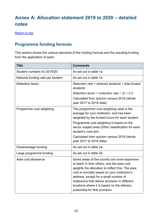# <span id="page-22-0"></span>**Annex A: Allocation statement 2019 to 2020 – detailed notes**

[Return to top](#page-7-0)

# <span id="page-22-1"></span>**Programme funding formula**

This section shows the various elements of the funding formula and the resulting funding from the application of each.

| <b>Title</b>                      | <b>Comments</b>                                                                                                                                                                                                                                                                                                                                                             |
|-----------------------------------|-----------------------------------------------------------------------------------------------------------------------------------------------------------------------------------------------------------------------------------------------------------------------------------------------------------------------------------------------------------------------------|
| Student numbers for 2019/20       | As set out in table 1a.                                                                                                                                                                                                                                                                                                                                                     |
| National funding rate per student | As set out in table 1b.                                                                                                                                                                                                                                                                                                                                                     |
| <b>Retention factor</b>           | Retention rate = retained students $\div$ total funded<br>students                                                                                                                                                                                                                                                                                                          |
|                                   | Retention factor = (retention rate $\div$ 2) + 0.5                                                                                                                                                                                                                                                                                                                          |
|                                   | Calculated from autumn census 2018 (whole<br>year 2017 to 2018 data).                                                                                                                                                                                                                                                                                                       |
| Programme cost weighting          | The programme cost weighting used is the<br>average for your institution, and has been<br>weighted by the funded hours for each student.                                                                                                                                                                                                                                    |
|                                   | Programme cost weighting is based on the<br>sector subject area (SSA) classification for each<br>student's core aim.                                                                                                                                                                                                                                                        |
|                                   | Calculated from autumn census 2018 (whole<br>year 2017 to 2018 data).                                                                                                                                                                                                                                                                                                       |
| Disadvantage funding              | As set out in table 2a.                                                                                                                                                                                                                                                                                                                                                     |
| Large programme funding           | As set out in table 2b.                                                                                                                                                                                                                                                                                                                                                     |
| Area cost allowance               | Some areas of the country are more expensive<br>to teach in than others, and the area cost<br>weights the allocation to reflect this. The area<br>cost is normally based on your institution's<br>address, except for a small number of<br>institutions that deliver provision in different<br>locations where it is based on the delivery<br>postcodes for that provision. |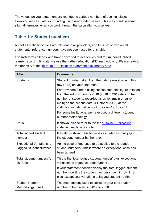The values on your statement are rounded to various numbers of decimal places. However, we calculate your funding using un-rounded values. This may result in some slight differences when you work through the calculation yourselves.

# <span id="page-23-0"></span>**Table 1a: Student numbers**

As not all of these options are relevant to all providers, and thus not shown on all statements, reference numbers have not been used for this table.

For sixth form colleges who have converted to academies and return individualised learner record (ILR) data, we use the further education (FE) methodology. Please refer to the annex A of the [16 to 19 FE allocation statement explanatory note.](https://www.gov.uk/government/publications/16-to-19-funding-allocations-supporting-documents-for-2019-to-2020)

| <b>Title</b>                                                     | <b>Comments</b>                                                                                                                                                                                                                                                                               |
|------------------------------------------------------------------|-----------------------------------------------------------------------------------------------------------------------------------------------------------------------------------------------------------------------------------------------------------------------------------------------|
| <b>Students</b>                                                  | Student number taken from the data return shown in this<br>row (1.1a) on your statement.                                                                                                                                                                                                      |
|                                                                  | For providers funded using census data, this figure is taken<br>from the autumn census 2018 (2018 to 2019 data). The<br>number of students recorded as on roll (main or current<br>main) on the census date (4 October 2018) at the<br>institution in national curriculum years 12, 13 or 14. |
|                                                                  | For some institutions, we have used a different student<br>number methodology.                                                                                                                                                                                                                |
| Ratio                                                            | If shown, please refer to the the 16 to 19 FE allocation<br>statement explanatory note.                                                                                                                                                                                                       |
| Total lagged student<br>number                                   | If a ratio is shown, this figure is calculated by multiplying<br>the student number by the ratio.                                                                                                                                                                                             |
| <b>Exceptional Variations to</b><br><b>Lagged Student Number</b> | An increase or decrease to be applied to the lagged<br>student numbers. This is where an exceptional case has<br>been agreed.                                                                                                                                                                 |
| Total student numbers for<br>2019/20                             | This is the 'total lagged student number' plus 'exceptional<br>variations to lagged student number'.                                                                                                                                                                                          |
|                                                                  | If your statement doesn't display the 'total lagged student<br>number' row it is the student number shown in row 1.1a<br>plus 'exceptional variations to lagged student number'.                                                                                                              |
| <b>Student Number</b><br><b>Methodology Used</b>                 | The methodology used to calculate your total student<br>number to be funded in 2019 to 2020.                                                                                                                                                                                                  |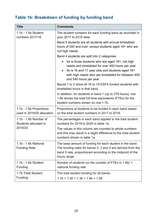# <span id="page-24-0"></span>**Table 1b: Breakdown of funding by funding band**

| <b>Title</b>                                          | <b>Comments</b>                                                                                                                                                                                                                        |
|-------------------------------------------------------|----------------------------------------------------------------------------------------------------------------------------------------------------------------------------------------------------------------------------------------|
| 1.1b - 1.5b Student<br>numbers 2017/18                | The student numbers for each funding band as recorded in<br>your 2017 to 2018 data.                                                                                                                                                    |
|                                                       | Band 5 students are all students with annual timetabled<br>hours of 540 and over, except students aged 18+ who are<br>not high needs.                                                                                                  |
|                                                       | Band 4 students are split into 2 categories.                                                                                                                                                                                           |
|                                                       | 4a is those students who are aged 18+, not high<br>needs and timetabled for over 450 hours per year<br>4b is 16 and 17 year olds and students aged 18+<br>with high needs who are timetabled for between 450<br>and 540 hours per year |
|                                                       | Bands 1 to 3 show all 16 to 19 ESFA funded students with<br>timetabled hours in that band.                                                                                                                                             |
|                                                       | In addition, for students in band 1 (up to 279 hours), row<br>1.8b shows the total full time equivalents (FTEs) for the<br>student numbers shown on row 1.7b.                                                                          |
| 1.1b - 1.5b Proportions<br>used in 2019/20 allocation | Proportions of students to be funded in each band based<br>on the total student numbers in 2017 to 2018.                                                                                                                               |
| $1.1b - 1.6b$ Number of<br>Students allocated in      | The percentages in each band applied to the total student<br>numbers for 2019 to 2020 in table 1a.                                                                                                                                     |
| 2019/20                                               | The values in this column are rounded to whole numbers<br>and this may result in a slight difference to the total student<br>numbers shown in table 1a.                                                                                |
| 1.1b - 1.6b National<br><b>Funding Rate</b>           | The base amount of funding for each student in the band.<br>The funding rates for bands 2, 3 and 4 are derived from the<br>band 5 rate, proportioned according to the midpoint of the<br>hours range.                                  |
| 1.1b - 1.6b Student<br>Funding                        | Number of students (or the number of FTEs in 1.6b) $\times$<br>national funding rate.                                                                                                                                                  |
| 1.7b Total Student<br>Funding                         | The total student funding for all bands.<br>$1.1b + 1.2b + 1.3b + 1.4b + 1.5b$                                                                                                                                                         |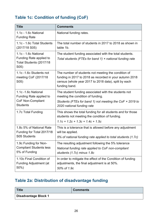# <span id="page-25-0"></span>**Table 1c: Condition of funding (CoF)**

| <b>Title</b>                                                                       | <b>Comments</b>                                                                                                                                                                         |
|------------------------------------------------------------------------------------|-----------------------------------------------------------------------------------------------------------------------------------------------------------------------------------------|
| 1.1c - 1.6c National<br><b>Funding Rate</b>                                        | National funding rates.                                                                                                                                                                 |
| 1.1c - 1.6c Total Students                                                         | The total number of students in 2017 to 2018 as shown in                                                                                                                                |
| (2017/18 S05)                                                                      | table 1b.                                                                                                                                                                               |
| 1.1c - 1.6c National<br>Funding Rate applied to<br>Total Students (2017/18<br>S05) | The student funding associated with the total students.<br>Total students (FTEs for band 1) $\times$ national funding rate                                                              |
| 1.1c -1.6c Students not<br>meeting CoF (2017/18)<br>S05)                           | The number of students not meeting the condition of<br>funding in 2017 to 2018 as recorded in your autumn 2018<br>census (whole year 2017 to 2018 data), split by each<br>funding band. |
| 1.1c -1.6c National                                                                | The student funding associated with the students not                                                                                                                                    |
| Funding Rate applied to                                                            | meeting the condition of funding.                                                                                                                                                       |
| CoF Non-Compliant                                                                  | Students (FTEs for band 1) not meeting the CoF $\times$ 2019 to                                                                                                                         |
| <b>Students</b>                                                                    | 2020 national funding rate                                                                                                                                                              |
| 1.7c Total Funding                                                                 | This shows the total funding for all students and for those<br>students not meeting the condition of funding.<br>$1.1c + 1.2c + 1.3c + 1.4c + 1.5c$                                     |
| 1.8c 5% of National Rate                                                           | This is a tolerance that is allowed before any adjustment                                                                                                                               |
| Funding for Total 2017/18                                                          | will be applied.                                                                                                                                                                        |
| S05 Students                                                                       | 5% of national funding rate applied to total students (1.7c)                                                                                                                            |
| 1.9c Funding for Non-                                                              | The resulting adjustment following the 5% tolerance                                                                                                                                     |
| <b>Compliant Students less</b>                                                     | National funding rate applied to CoF non-compliant                                                                                                                                      |
| 5% of Funding                                                                      | students (1.7c) minus 1.8c                                                                                                                                                              |
| 1.10c Final Condition of                                                           | In order to mitigate the effect of the Condition of funding                                                                                                                             |
| <b>Funding Adjustment (at</b>                                                      | adjustments, the final adjustment is at 50%.                                                                                                                                            |
| 50%)                                                                               | 50% of 1.9c                                                                                                                                                                             |

# <span id="page-25-1"></span>**Table 2a: Distribution of disadvantage funding**

| Title                | <b>Comments</b> |
|----------------------|-----------------|
| Disadvantage Block 1 |                 |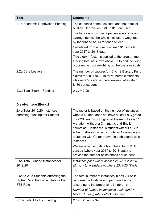| <b>Title</b>                      | <b>Comments</b>                                                                                                                                                              |
|-----------------------------------|------------------------------------------------------------------------------------------------------------------------------------------------------------------------------|
| 2.1a Economic Deprivation Funding | The student's home postcode and the Index of<br>Multiple Deprivation (IMD) 2015 are used.                                                                                    |
|                                   | The factor is shown as a percentage and is an<br>average across the whole institution, weighted<br>by the funded hours for each student.                                     |
|                                   | Calculated from autumn census 2018 (whole<br>year 2017 to 2018 data).                                                                                                        |
|                                   | This block 1 factor is applied to the programme<br>funding total as shown above up to and including<br>programme cost weighting but before area costs.                       |
| 2.2a Care Leavers                 | The number of successful 16 to 19 Bursary Fund<br>claims for 2017 to 2018 for vulnerable students<br>who were 'in care' or 'care leavers', at a rate of<br>£480 per student. |
| 2.3a Total Block 1 Funding        | $2.1a + 2.2a$                                                                                                                                                                |

| <b>Disadvantage Block 2</b>                                                                   |                                                                                                                                                                                                                                                                                                                                                                                                                                                                                                                       |
|-----------------------------------------------------------------------------------------------|-----------------------------------------------------------------------------------------------------------------------------------------------------------------------------------------------------------------------------------------------------------------------------------------------------------------------------------------------------------------------------------------------------------------------------------------------------------------------------------------------------------------------|
| 2.4a Total 2019/20 Instances<br>attracting Funding per Student                                | The factor is based on the number of instances<br>when a student does not have at least a C grade<br>in GCSE maths or English at the end of year 11.<br>A student without a C in maths and English<br>counts as 2 instances, a student without a C in<br>either maths or English counts as 1 instance and<br>a student with Cs (or above) in both counts as 0<br>instances.<br>We are now using data from the autumn 2018<br>census (whole year 2017 to 2018 data) to<br>provide the number of instances per student. |
| 2.5a Total Funded Instances for<br>2019/20                                                    | Instances per student applied in 2019 to 2020<br>$(2.4a)$ × total student numbers 2019/20 (Table<br>1a)                                                                                                                                                                                                                                                                                                                                                                                                               |
| 2.6a to 2.9a Students attracting the<br>Higher Rate, the Lower Rate or the<br><b>FTE Rate</b> | The total number of instances in box 2.4 split<br>between the full-time and part time bands<br>according to the proportions in table 1b.<br>Number of funded instances in each band $\times$<br>block 2 funding rate $=$ block 2 funding                                                                                                                                                                                                                                                                              |
| 2.10a Total Block 2 Funding                                                                   | $2.6a + 2.7a + 2.9a$                                                                                                                                                                                                                                                                                                                                                                                                                                                                                                  |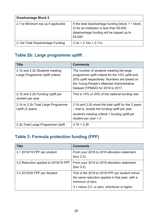| <b>Disadvantage Block 2</b>        |                                                                                                                                                            |
|------------------------------------|------------------------------------------------------------------------------------------------------------------------------------------------------------|
| 2.11a Minimum top up if applicable | If the total disadvantage funding (block $1 +$ block<br>2) for an institution is less than £6,000,<br>disadvantage funding will be topped up to<br>£6,000. |
| 2.12a Total Disadvantage Funding   | $2.3a + 2.10a + 2.11a$                                                                                                                                     |

# <span id="page-27-0"></span>**Table 2b: Large programme uplift**

| <b>Title</b>                                                      | <b>Comments</b>                                                                                                                                                                                                                 |
|-------------------------------------------------------------------|---------------------------------------------------------------------------------------------------------------------------------------------------------------------------------------------------------------------------------|
| 2.1b and 2.2b Students meeting<br>Large Programme Uplift criteria | The number of students meeting the large<br>programme uplift criteria for the 10% uplift and<br>20% uplift respectively. Numbers are based on<br>the Young People's Matched Administrative<br>Dataset (YPMAD) for 2016 to 2017. |
| 2.1b and 2.2b Funding Uplift per<br>student per year              | This is 10% or 20% of the national funding rate.                                                                                                                                                                                |
| 2.1b to 2.2b Total Large Programme<br>Uplift (2 years)            | 2.1b and 2.2b show the total uplift for the 2 years<br>- that is, double the funding uplift per year.<br>students meeting criteria x funding uplift per<br>student per year $\times$ 2                                          |
| 2.3b Total Large Programme Uplift                                 | $2.1b + 2.2b$                                                                                                                                                                                                                   |

# <span id="page-27-1"></span>**Table 3: Formula protection funding (FPF)**

| <b>Title</b>                         | <b>Comments</b>                                                                                                                                                      |
|--------------------------------------|----------------------------------------------------------------------------------------------------------------------------------------------------------------------|
| 3.1 2018/19 FPF per student          | From your 2018 to 2019 allocation statement<br>(box 3.3).                                                                                                            |
| 3.2 Reduction applied to 2018/19 FPF | From your 2018 to 2019 allocation statement<br>(box 3.2).                                                                                                            |
| 3.3 2019/20 FPF per Student          | This is the 2018 to 2019 FPF per student minus<br>the same reduction applied in that year, with a<br>minimum of zero.<br>3.1 minus 3.2, or zero, whichever is higher |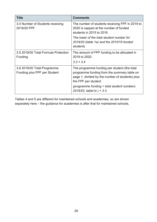| <b>Title</b>                                                | <b>Comments</b>                                                                                                                                                        |
|-------------------------------------------------------------|------------------------------------------------------------------------------------------------------------------------------------------------------------------------|
| 3.4 Number of Students receiving<br>2019/20 FPF             | The number of students receiving FPF in 2019 to<br>2020 is capped at the number of funded<br>students in 2015 to 2016.                                                 |
|                                                             | The lower of the total student number for<br>2019/20 (table 1a) and the 2015/16 funded<br>students                                                                     |
| 3.5 2019/20 Total Formula Protection<br>Funding             | The amount of FPF funding to be allocated in<br>2019 to 2020.<br>$3.3 \times 3.4$                                                                                      |
| 3.6 2019/20 Total Programme<br>Funding plus FPF per Student | The programme funding per student (the total<br>programme funding from the summary table on<br>page 1, divided by the number of students) plus<br>the FPF per student. |
|                                                             | (programme funding $\div$ total student numbers<br>$2019/20$ , table 1a $+3.3$                                                                                         |

Tables 4 and 5 are different for maintained schools and academies, so are shown separately here – the guidance for academies is after that for maintained schools**.**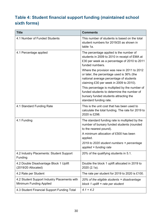# <span id="page-29-0"></span>**Table 4: Student financial support funding (maintained school sixth forms)**

| <b>Title</b>                                                            | <b>Comments</b>                                                                                                                                                                |
|-------------------------------------------------------------------------|--------------------------------------------------------------------------------------------------------------------------------------------------------------------------------|
| 4.1 Number of Funded Students                                           | This number of students is based on the total<br>student numbers for 2019/20 as shown in<br>table 1a.                                                                          |
| 4.1 Percentage applied                                                  | The percentage applied is the number of<br>students in 2009 to 2010 in receipt of EMA at<br>£30 per week as a percentage of 2010 to 2011<br>funded numbers.                    |
|                                                                         | Where the provision was new in 2011 to 2012<br>or later, the percentage used is 36% (the<br>national average percentage of students<br>claiming £30 per week in 2009 to 2010). |
|                                                                         | This percentage is multiplied by the number of<br>funded students to determine the number of<br>bursary funded students attracting the<br>standard funding rate.               |
| 4.1 Standard Funding Rate                                               | This is the unit cost that has been used to<br>calculate the total funding. The rate for 2019 to<br>2020 is £298.                                                              |
| 4.1 Funding                                                             | The standard funding rate is multiplied by the<br>number of bursary funded students (rounded<br>to the nearest pound).                                                         |
|                                                                         | A minimum allocation of £500 has been<br>applied.                                                                                                                              |
|                                                                         | 2019 to 2020 student numbers × percentage<br>applied × funding rate                                                                                                            |
| 4.2 Industry Placements: Student Support<br>Funding                     | 20% of the qualifying students in 5.1.                                                                                                                                         |
| 4.2 Double Disadvantage Block 1 Uplift<br>(2019/20 Allocated)           | Double the block 1 uplift allocated in 2019 to<br>2020 (2.1a).                                                                                                                 |
| 4.2 Rate per Student                                                    | The rate per student for 2019 to 2020 is £100.                                                                                                                                 |
| 4.2 Student Support Industry Placements with<br>Minimum Funding Applied | 20% of the eligible students x disadvantage<br>block 1 uplift $\times$ rate per student                                                                                        |
| 4.3 Student Financial Support Funding Total                             | $4.1 + 4.2$                                                                                                                                                                    |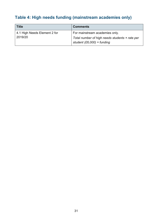# <span id="page-30-0"></span>**Table 4: High needs funding (mainstream academies only)**

| <b>Title</b>                            | <b>Comments</b>                                                                                                |
|-----------------------------------------|----------------------------------------------------------------------------------------------------------------|
| 4.1 High Needs Element 2 for<br>2019/20 | For mainstream academies only.<br>Total number of high needs students x rate per<br>student (£6,000) = funding |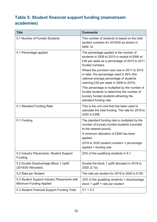# <span id="page-31-0"></span>**Table 5: Student financial support funding (mainstream academies)**

| <b>Title</b>                                                                   | <b>Comments</b>                                                                                                                                                                |
|--------------------------------------------------------------------------------|--------------------------------------------------------------------------------------------------------------------------------------------------------------------------------|
| 5.1 Number of Funded Students                                                  | This number of students is based on the total<br>student numbers for 2019/20 as shown in<br>table 1a.                                                                          |
| 5.1 Percentage applied                                                         | The percentage applied is the number of<br>students in 2009 to 2010 in receipt of EMA at<br>£30 per week as a percentage of 2010 to 2011<br>funded numbers.                    |
|                                                                                | Where the provision was new in 2011 to 2012<br>or later, the percentage used is 36% (the<br>national average percentage of students<br>claiming £30 per week in 2009 to 2010). |
|                                                                                | This percentage is multiplied by the number of<br>funded students to determine the number of<br>bursary funded students attracting the<br>standard funding rate.               |
| 5.1 Standard Funding Rate                                                      | This is the unit cost that has been used to<br>calculate the total funding. The rate for 2019 to<br>2020 is £298.                                                              |
| 5.1 Funding                                                                    | The standard funding rate is multiplied by the<br>number of bursary funded students (rounded<br>to the nearest pound).                                                         |
|                                                                                | A minimum allocation of £500 has been<br>applied.                                                                                                                              |
|                                                                                | 2019 to 2020 student numbers × percentage<br>applied × funding rate                                                                                                            |
| 5.2 Industry Placements: Student Support<br>Funding                            | 20% of the qualifying students in 6.1.                                                                                                                                         |
| 5.2 Double Disadvantage Block 1 Uplift<br>$(2019/20$ Allocated)                | Double the block 1 uplift allocated in 2019 to<br>2020 (2.1a).                                                                                                                 |
| 5.2 Rate per Student                                                           | The rate per student for 2019 to 2020 is £100.                                                                                                                                 |
| 5.2 Student Support Industry Placements with<br><b>Minimum Funding Applied</b> | 20% of the qualifying students x disadvantage<br>block 1 uplift $\times$ rate per student                                                                                      |
| 5.3 Student Financial Support Funding Total                                    | $5.1 + 5.2$                                                                                                                                                                    |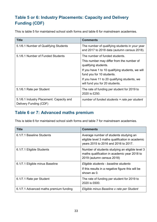# <span id="page-32-0"></span>**Table 5 or 6: Industry Placements: Capacity and Delivery Funding (CDF)**

This is table 5 for maintained school sixth forms and table 6 for mainstream academies.

| <b>Title</b>                                                       | <b>Comments</b>                                                                                     |
|--------------------------------------------------------------------|-----------------------------------------------------------------------------------------------------|
| 5.1/6.1 Number of Qualifying Students                              | The number of qualifying students in your year<br>end 2017 to 2018 data (autumn census 2018).       |
| 5.1/6.1 Number of Funded Students                                  | The number of funded students.<br>This number may differ from the number of<br>qualifying students. |
|                                                                    | If you have 1 to 10 qualifying students, we will<br>fund you for 10 students.                       |
|                                                                    | If you have 11 to 20 qualifying students, we<br>will fund you for 20 students.                      |
| 5.1/6.1 Rate per Student                                           | The rate of funding per student for 2019 to<br>2020 is £250.                                        |
| 5.1/6.1 Industry Placement: Capacity and<br>Delivery Funding (CDF) | number of funded students $\times$ rate per student                                                 |

# <span id="page-32-1"></span>**Table 6 or 7: Advanced maths premium**

This is table 6 for maintained school sixth forms and table 7 for mainstream academies.

| <b>Title</b>                           | <b>Comments</b>                                                                                                                    |
|----------------------------------------|------------------------------------------------------------------------------------------------------------------------------------|
| 6.1/7.1 Baseline Students              | Average number of students studying an<br>eligible level 3 maths qualification in academic<br>years 2015 to 2016 and 2016 to 2017. |
| 6.1/7.1 Eligible Students              | Number of students studying an eligible level 3<br>maths qualification in academic year 2018 to<br>2019 (autumn census 2018)       |
| 6.1/7.1 Eligible minus Baseline        | Eligible students - baseline students<br>If this results in a negative figure this will be<br>shown as 0.                          |
| 6.1/7.1 Rate per Student               | The rate of funding per student for 2019 to<br>2020 is £600.                                                                       |
| 6.1/7.1 Advanced maths premium funding | Eligible minus Baseline x rate per Student                                                                                         |